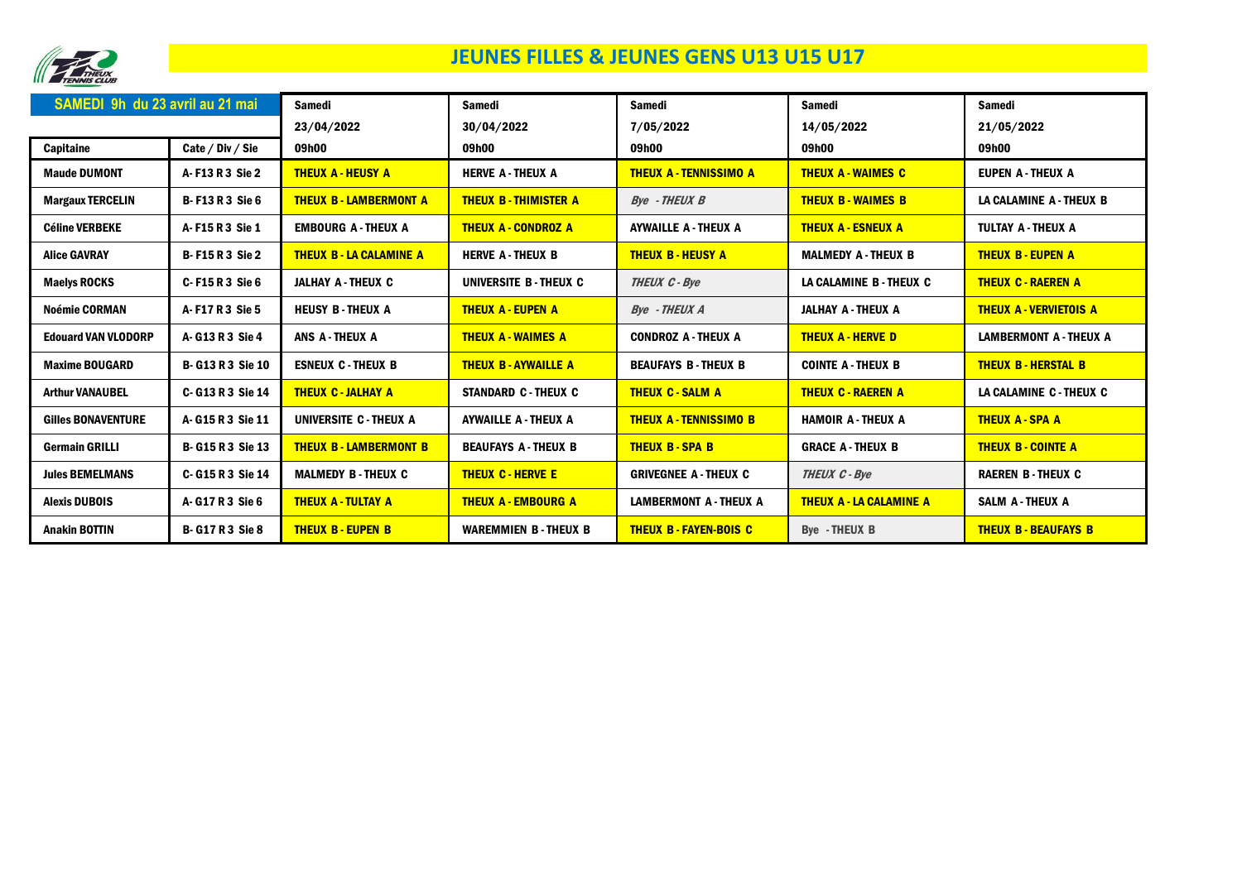

## JEUNES FILLES & JEUNES GENS U13 U15 U17

| SAMEDI 9h du 23 avril au 21 mai |                        | <b>Samedi</b>                  | <b>Samedi</b>               | Samedi                        | Samedi                         | Samedi                        |
|---------------------------------|------------------------|--------------------------------|-----------------------------|-------------------------------|--------------------------------|-------------------------------|
|                                 |                        | 23/04/2022                     | 30/04/2022                  | 7/05/2022                     | 14/05/2022                     | 21/05/2022                    |
| Capitaine                       | Cate / Div / Sie       | 09h00                          | 09h00                       | 09h00                         | 09h00                          | 09h00                         |
| <b>Maude DUMONT</b>             | A-F13 R 3 Sie 2        | <b>THEUX A - HEUSY A</b>       | <b>HERVE A-THEUX A</b>      | <b>THEUX A - TENNISSIMO A</b> | <b>THEUX A - WAIMES C</b>      | <b>EUPEN A-THEUX A</b>        |
| <b>Margaux TERCELIN</b>         | <b>B-F13 R 3 Sie 6</b> | <b>THEUX B-LAMBERMONT A</b>    | <b>THEUX B-THIMISTER A</b>  | <b>Bve</b> - THEUX B          | <b>THEUX B - WAIMES B</b>      | LA CALAMINE A - THEUX B       |
| <b>Céline VERBEKE</b>           | A-F15R3 Sie 1          | <b>EMBOURG A - THEUX A</b>     | <b>THEUX A - CONDROZ A</b>  | <b>AYWAILLE A - THEUX A</b>   | <b>THEUX A - ESNEUX A</b>      | TULTAY A - THEUX A            |
| <b>Alice GAVRAY</b>             | <b>B-F15 R 3 Sie 2</b> | <b>THEUX B - LA CALAMINE A</b> | <b>HERVE A-THEUX B</b>      | <b>THEUX B - HEUSY A</b>      | <b>MALMEDY A - THEUX B</b>     | <b>THEUX B - EUPEN A</b>      |
| <b>Maelys ROCKS</b>             | C-F15R3 Sie 6          | <b>JALHAY A - THEUX C</b>      | UNIVERSITE B - THEUX C      | THEUX C - Bye                 | LA CALAMINE B - THEUX C        | <b>THEUX C - RAEREN A</b>     |
| <b>Noémie CORMAN</b>            | A-F17R3 Sie 5          | <b>HEUSY B-THEUX A</b>         | <b>THEUX A - EUPEN A</b>    | <b>Bye</b> - THEUX A          | <b>JALHAY A - THEUX A</b>      | <b>THEUX A - VERVIETOIS A</b> |
| <b>Edouard VAN VLODORP</b>      | A-G13R3 Sie 4          | ANS A-THEUX A                  | <b>THEUX A - WAIMES A</b>   | <b>CONDROZ A - THEUX A</b>    | <b>THEUX A - HERVE D</b>       | <b>LAMBERMONT A - THEUX A</b> |
| <b>Maxime BOUGARD</b>           | <b>B-G13 R3 Sie 10</b> | <b>ESNEUX C-THEUX B</b>        | <b>THEUX B - AYWAILLE A</b> | <b>BEAUFAYS B-THEUX B</b>     | <b>COINTE A - THEUX B</b>      | <b>THEUX B-HERSTAL B</b>      |
| <b>Arthur VANAUBEL</b>          | C- G13 R 3 Sie 14      | <b>THEUX C - JALHAY A</b>      | <b>STANDARD C - THEUX C</b> | <b>THEUX C - SALM A</b>       | <b>THEUX C - RAEREN A</b>      | LA CALAMINE C - THEUX C       |
| <b>Gilles BONAVENTURE</b>       | A-G15R3 Sie 11         | UNIVERSITE C - THEUX A         | <b>AYWAILLE A - THEUX A</b> | <b>THEUX A-TENNISSIMO B</b>   | <b>HAMOIR A-THEUX A</b>        | <b>THEUX A-SPA A</b>          |
| <b>Germain GRILLI</b>           | <b>B-G15R3 Sie 13</b>  | <b>THEUX B-LAMBERMONT B</b>    | <b>BEAUFAYS A-THEUX B</b>   | <b>THEUX B-SPA B</b>          | <b>GRACE A-THEUX B</b>         | <b>THEUX B - COINTE A</b>     |
| <b>Jules BEMELMANS</b>          | C-G15R3 Sie 14         | <b>MALMEDY B-THEUX C</b>       | <b>THEUX C - HERVE E</b>    | <b>GRIVEGNEE A - THEUX C</b>  | <b>THEUX C - Bye</b>           | <b>RAEREN B-THEUX C</b>       |
| <b>Alexis DUBOIS</b>            | A-G17R3 Sie 6          | <b>THEUX A - TULTAY A</b>      | <b>THEUX A - EMBOURG A</b>  | <b>LAMBERMONT A - THEUX A</b> | <b>THEUX A - LA CALAMINE A</b> | <b>SALM A-THEUX A</b>         |
| <b>Anakin BOTTIN</b>            | <b>B-G17R3 Sie 8</b>   | <b>THEUX B - EUPEN B</b>       | <b>WAREMMIEN B-THEUX B</b>  | <b>THEUX B-FAYEN-BOIS C</b>   | <b>Bye - THEUX B</b>           | <b>THEUX B - BEAUFAYS B</b>   |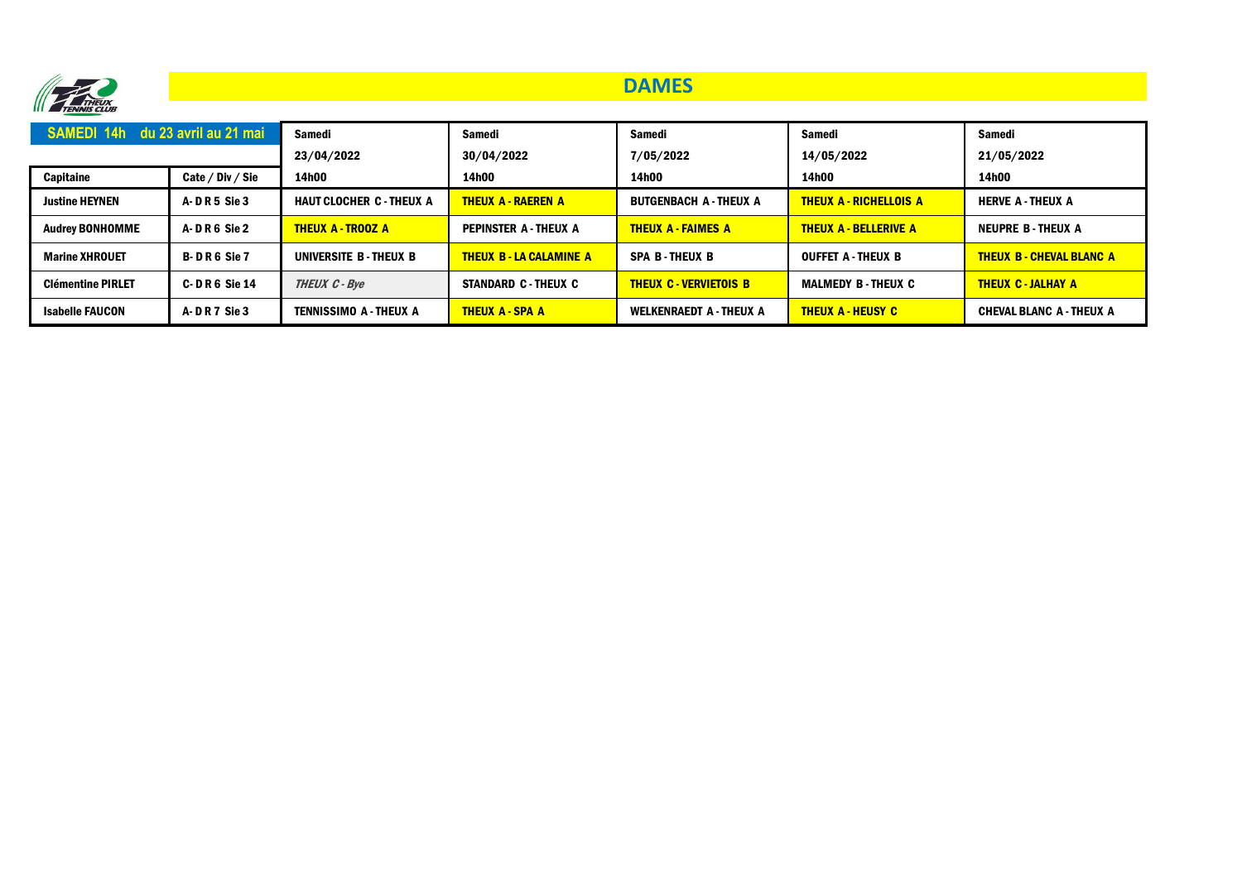

### **DAMES**

| <b>SAMEDI 14h du 23 avril au 21 mai</b> |                    | <b>Samedi</b>                   | Samedi                         | Samedi                        | Samedi                        | <b>Samedi</b>                   |
|-----------------------------------------|--------------------|---------------------------------|--------------------------------|-------------------------------|-------------------------------|---------------------------------|
|                                         |                    | 23/04/2022                      | 30/04/2022                     | 7/05/2022                     | 14/05/2022                    | 21/05/2022                      |
| Capitaine                               | Cate / Div / Sie   | 14h00                           | 14h00                          | 14h00                         | 14h00                         | 14h00                           |
| <b>Justine HEYNEN</b>                   | <b>A-DR5 Sie 3</b> | <b>HAUT CLOCHER C - THEUX A</b> | <b>THEUX A - RAEREN A</b>      | <b>BUTGENBACH A - THEUX A</b> | <b>THEUX A - RICHELLOIS A</b> | <b>HERVE A-THEUX A</b>          |
| <b>Audrey BONHOMME</b>                  | A-DR6 Sie 2        | <b>THEUX A - TROOZ A</b>        | <b>PEPINSTER A - THEUX A</b>   | <b>THEUX A - FAIMES A</b>     | <b>THEUX A - BELLERIVE A</b>  | <b>NEUPRE B-THEUX A</b>         |
| <b>Marine XHROUET</b>                   | <b>B-DR6 Sie 7</b> | UNIVERSITE B - THEUX B          | <b>THEUX B - LA CALAMINE A</b> | <b>SPA B-THEUX B</b>          | <b>OUFFET A - THEUX B</b>     | <b>THEUX B - CHEVAL BLANC A</b> |
| <b>Clémentine PIRLET</b>                | $C - D R 6$ Sie 14 | <b>THEUX C - Bye</b>            | <b>STANDARD C - THEUX C</b>    | <b>THEUX C-VERVIETOIS B</b>   | <b>MALMEDY B - THEUX C</b>    | <b>THEUX C - JALHAY A</b>       |
| <b>Isabelle FAUCON</b>                  | <b>A-DR7 Sie 3</b> | TENNISSIMO A - THEUX A          | <b>THEUX A - SPA A</b>         | WELKENRAEDT A - THEUX A       | <b>THEUX A - HEUSY C</b>      | <b>CHEVAL BLANC A - THEUX A</b> |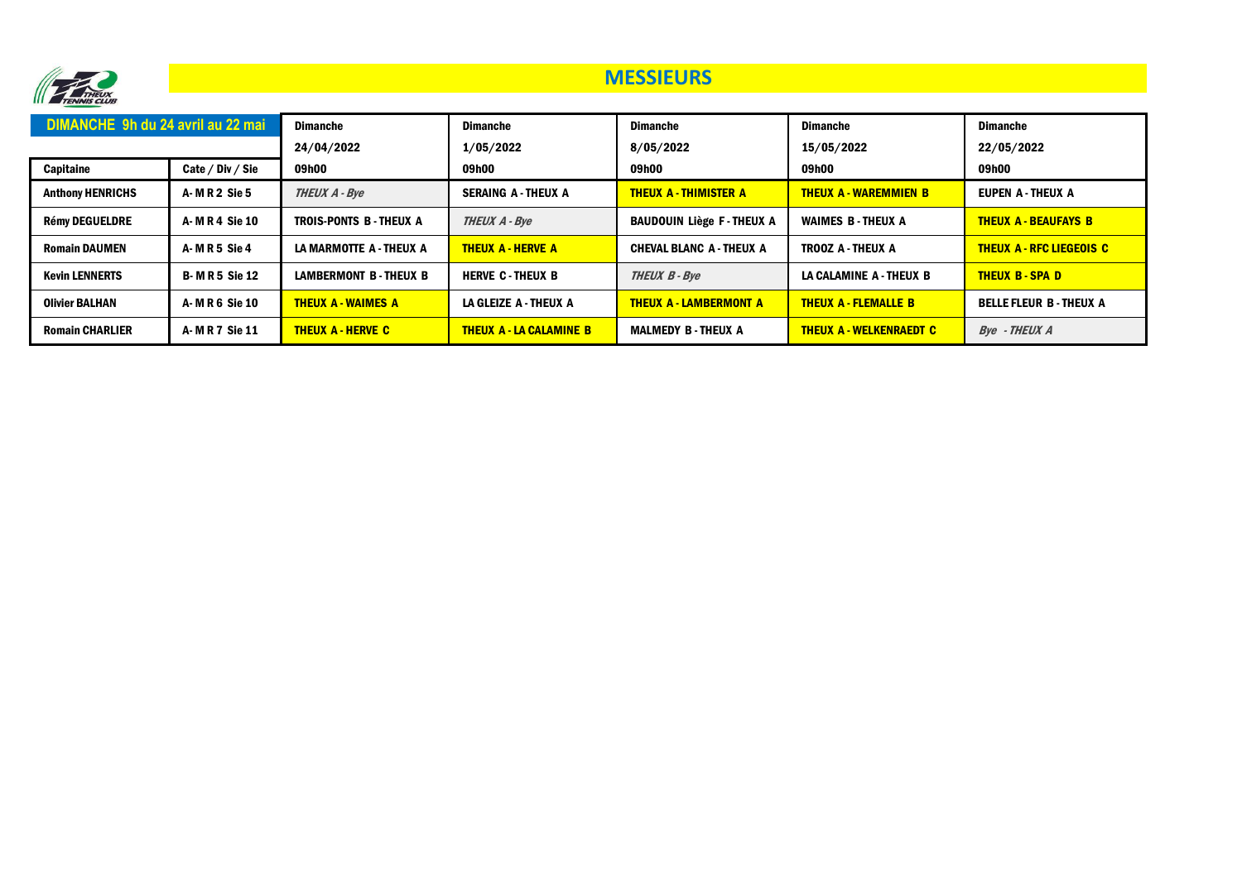

#### **MESSIEURS**

| DIMANCHE 9h du 24 avril au 22 mai |                     | <b>Dimanche</b><br>24/04/2022 | <b>Dimanche</b><br>1/05/2022   | <b>Dimanche</b><br>8/05/2022    | <b>Dimanche</b><br>15/05/2022  | <b>Dimanche</b><br>22/05/2022   |
|-----------------------------------|---------------------|-------------------------------|--------------------------------|---------------------------------|--------------------------------|---------------------------------|
| Capitaine                         | Cate / Div / Sie    | 09h00                         | 09h00                          | 09h00                           | 09h00                          | 09h00                           |
| <b>Anthony HENRICHS</b>           | A-MR2 Sie 5         | <b>THEUX A - Bve</b>          | <b>SERAING A-THEUX A</b>       | <b>THEUX A - THIMISTER A</b>    | <b>THEUX A - WAREMMIEN B</b>   | <b>EUPEN A-THEUX A</b>          |
| <b>Rémy DEGUELDRE</b>             | A-MR4 Sie 10        | TROIS-PONTS B-THEUX A         | <b>THEUX A - Bye</b>           | <b>BAUDOUIN LIÈGE F-THEUX A</b> | <b>WAIMES B-THEUX A</b>        | <b>THEUX A - BEAUFAYS B</b>     |
| <b>Romain DAUMEN</b>              | A-MR5 Sie 4         | LA MARMOTTE A - THEUX A       | <b>THEUX A - HERVE A</b>       | <b>CHEVAL BLANC A - THEUX A</b> | <b>TROOZ A-THEUX A</b>         | <b>THEUX A - RFC LIEGEOIS C</b> |
| <b>Kevin LENNERTS</b>             | <b>B-MR5 Sie 12</b> | <b>LAMBERMONT B-THEUX B</b>   | <b>HERVE C-THEUX B</b>         | <b>THEUX B - Bye</b>            | LA CALAMINE A - THEUX B        | <b>THEUX B-SPAD</b>             |
| <b>Olivier BALHAN</b>             | A-MR6 Sie 10        | <b>THEUX A - WAIMES A</b>     | LA GLEIZE A - THEUX A          | <b>THEUX A - LAMBERMONT A</b>   | <b>THEUX A - FLEMALLE B</b>    | <b>BELLE FLEUR B-THEUX A</b>    |
| <b>Romain CHARLIER</b>            | A-MR7 Sie 11        | <b>THEUX A - HERVE C</b>      | <b>THEUX A - LA CALAMINE B</b> | <b>MALMEDY B - THEUX A</b>      | <b>THEUX A - WELKENRAEDT C</b> | <b>Bye</b> - THEUX A            |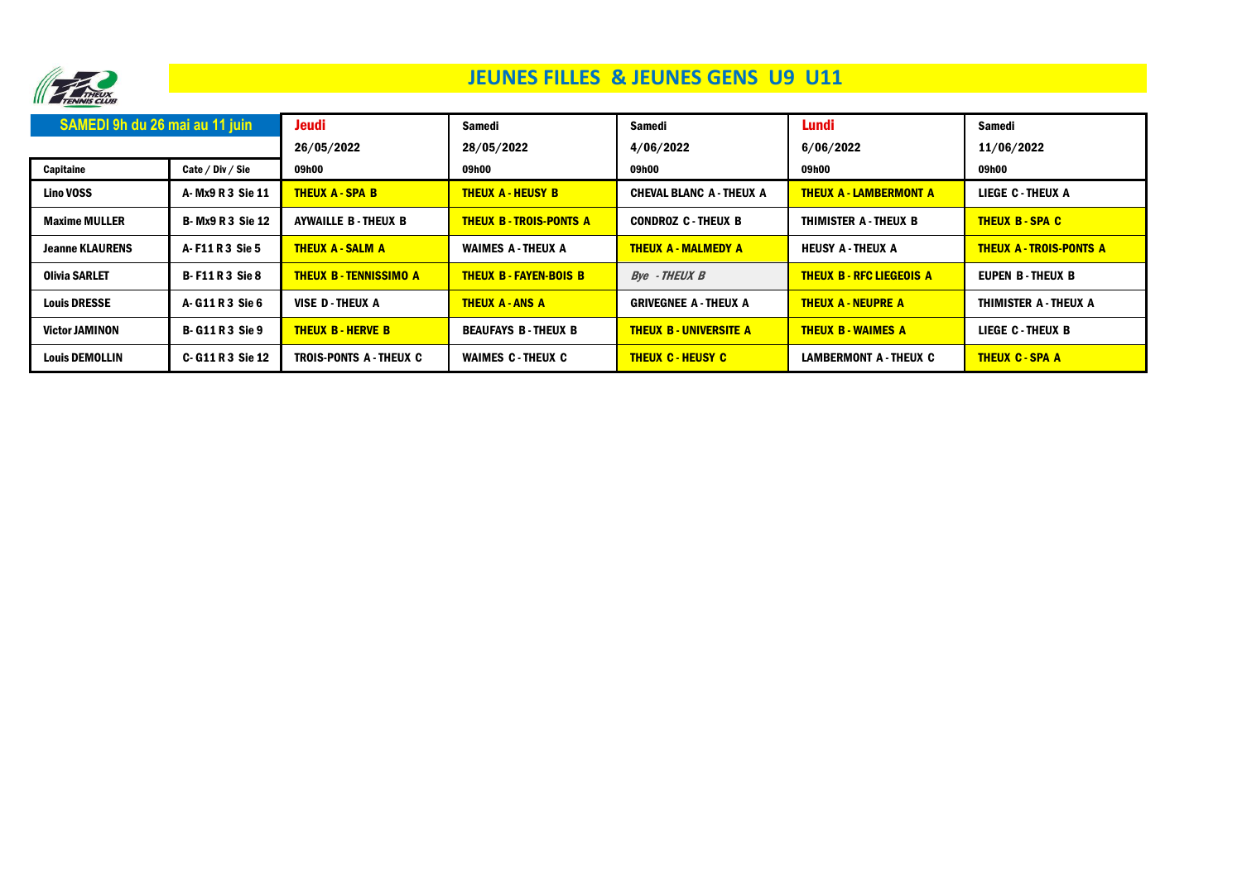

# JEUNES FILLES & JEUNES GENS U9 U11

| SAMEDI 9h du 26 mai au 11 juin |                         | Jeudi                       | Samedi                       | Samedi                          | Lundi                           | <b>Samedi</b>                  |
|--------------------------------|-------------------------|-----------------------------|------------------------------|---------------------------------|---------------------------------|--------------------------------|
|                                |                         | 26/05/2022                  | 28/05/2022                   | 4/06/2022                       | 6/06/2022                       | 11/06/2022                     |
| Capitaine                      | Cate / Div / Sie        | 09h00                       | 09h00                        | 09h00                           | 09h00                           | 09h00                          |
| <b>Lino VOSS</b>               | A- Mx9 R 3 Sie 11       | <b>THEUX A-SPA B</b>        | <b>THEUX A - HEUSY B</b>     | <b>CHEVAL BLANC A - THEUX A</b> | <b>THEUX A - LAMBERMONT A</b>   | <b>LIEGE C-THEUX A</b>         |
| <b>Maxime MULLER</b>           | <b>B-Mx9 R 3 Sie 12</b> | <b>AYWAILLE B-THEUX B</b>   | <b>THEUX B-TROIS-PONTS A</b> | <b>CONDROZ C-THEUX B</b>        | THIMISTER A - THEUX B           | <b>THEUX B-SPAC</b>            |
| <b>Jeanne KLAURENS</b>         | A-F11R3 Sie 5           | <b>THEUX A - SALM A</b>     | <b>WAIMES A-THEUX A</b>      | <b>THEUX A - MALMEDY A</b>      | <b>HEUSY A-THEUX A</b>          | <b>THEUX A - TROIS-PONTS A</b> |
| Olivia SARLET                  | <b>B-F11R3 Sie 8</b>    | <b>THEUX B-TENNISSIMO A</b> | <b>THEUX B-FAYEN-BOIS B</b>  | <b>Bve</b> - THEUX B            | <b>THEUX B - RFC LIEGEOIS A</b> | EUPEN B-THEUX B                |
| <b>Louis DRESSE</b>            | A-G11R3 Sie 6           | VISE D-THEUX A              | <b>THEUX A-ANS A</b>         | <b>GRIVEGNEE A - THEUX A</b>    | <b>THEUX A - NEUPRE A</b>       | THIMISTER A - THEUX A          |
| <b>Victor JAMINON</b>          | <b>B-G11R3 Sie 9</b>    | <b>THEUX B-HERVE B</b>      | <b>BEAUFAYS B-THEUX B</b>    | <b>THEUX B - UNIVERSITE A</b>   | <b>THEUX B - WAIMES A</b>       | <b>LIEGE C-THEUX B</b>         |
| <b>Louis DEMOLLIN</b>          | C-G11R3 Sie 12          | TROIS-PONTS A - THEUX C     | <b>WAIMES C-THEUX C</b>      | <b>THEUX C - HEUSY C</b>        | LAMBERMONT A - THEUX C          | <b>THEUX C - SPA A</b>         |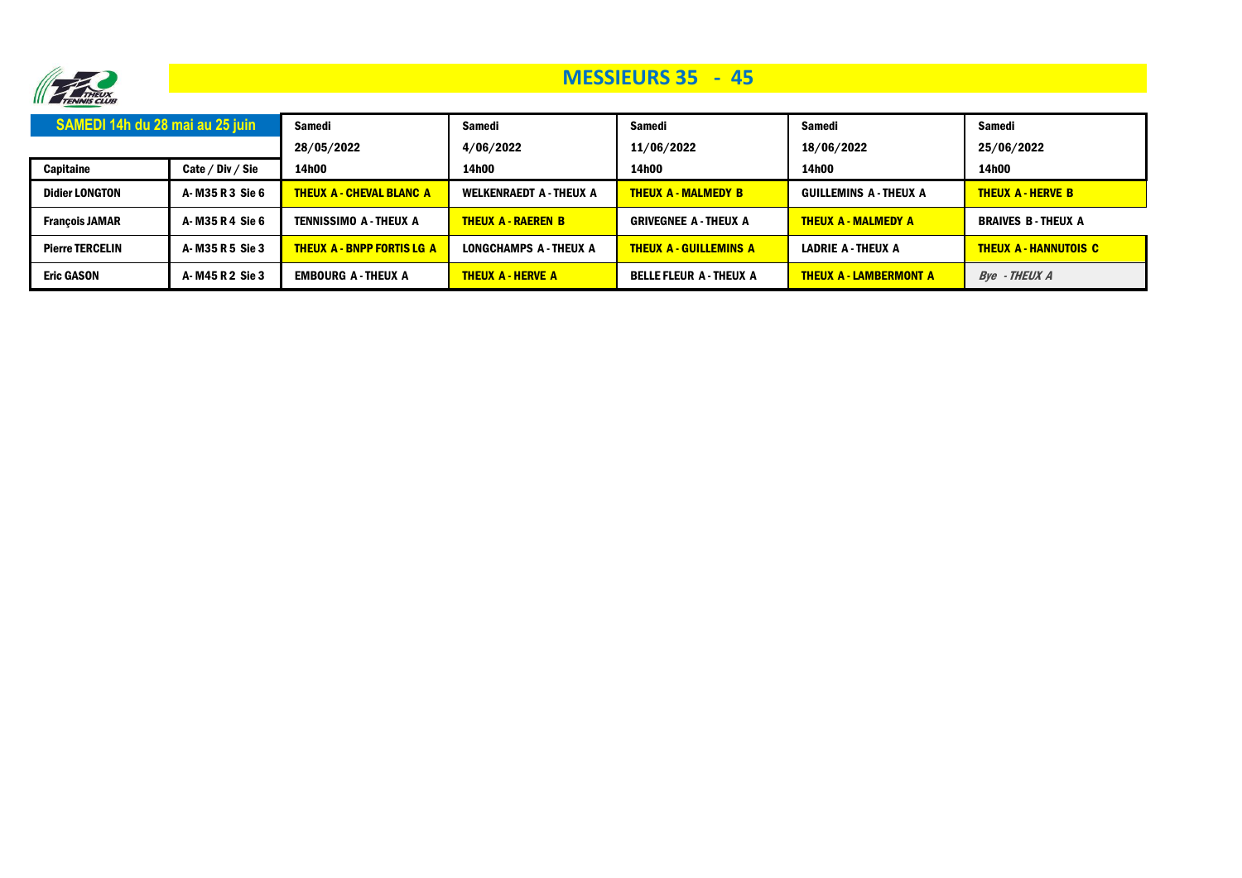

## **MESSIEURS 35 - 45**

| SAMEDI 14h du 28 mai au 25 juin |                  | Samedi                            | Samedi                         | Samedi                         | Samedi                        | Samedi                     |
|---------------------------------|------------------|-----------------------------------|--------------------------------|--------------------------------|-------------------------------|----------------------------|
|                                 |                  | 28/05/2022                        | 4/06/2022                      | 11/06/2022                     | 18/06/2022                    | 25/06/2022                 |
| Capitaine                       | Cate / Div / Sie | 14h00                             | 14h00                          | 14h00                          | 14h00                         | 14h00                      |
| <b>Didier LONGTON</b>           | A-M35 R 3 Sie 6  | <b>THEUX A - CHEVAL BLANC A</b>   | <b>WELKENRAEDT A - THEUX A</b> | <b>THEUX A - MALMEDY B</b>     | <b>GUILLEMINS A - THEUX A</b> | <b>THEUX A - HERVE B</b>   |
| <b>Francois JAMAR</b>           | A-M35 R 4 Sie 6  | TENNISSIMO A - THEUX A            | <b>THEUX A - RAEREN B</b>      | <b>GRIVEGNEE A - THEUX A</b>   | <b>THEUX A - MALMEDY A</b>    | <b>BRAIVES B-THEUX A</b>   |
| <b>Pierre TERCELIN</b>          | A-M35 R 5 Sie 3  | <b>THEUX A - BNPP FORTIS LG A</b> | LONGCHAMPS A - THEUX A         | <b>THEUX A - GUILLEMINS A</b>  | <b>LADRIE A - THEUX A</b>     | <b>THEUX A-HANNUTOIS C</b> |
| <b>Eric GASON</b>               | A-M45 R 2 Sie 3  | <b>EMBOURG A - THEUX A</b>        | <b>THEUX A - HERVE A</b>       | <b>BELLE FLEUR A - THEUX A</b> | <b>THEUX A - LAMBERMONT A</b> | Bye - THEUX A              |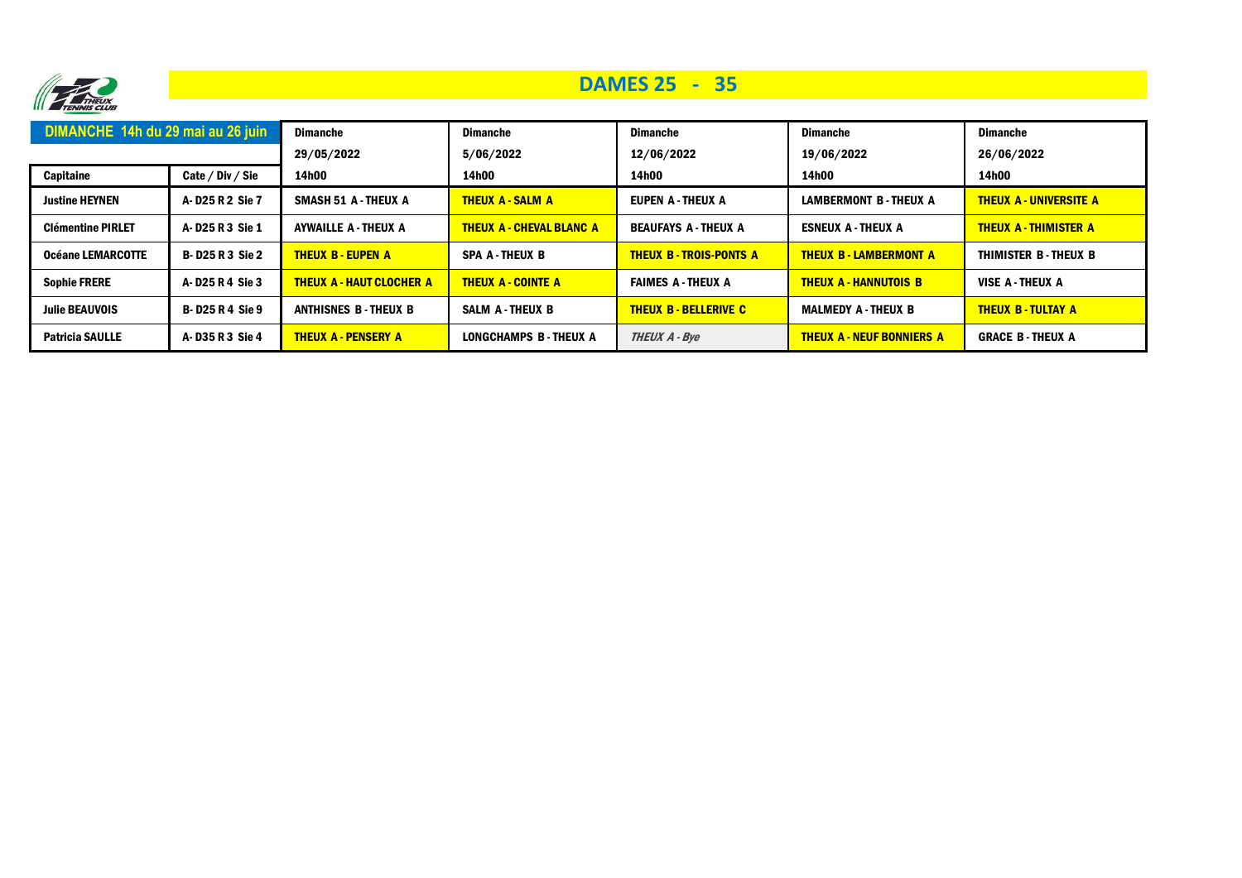

## **DAMES 25 - 35**

| DIMANCHE 14h du 29 mai au 26 juin    |                      | <b>Dimanche</b>                 | <b>Dimanche</b>                 | <b>Dimanche</b>              | <b>Dimanche</b>                  | <b>Dimanche</b>               |
|--------------------------------------|----------------------|---------------------------------|---------------------------------|------------------------------|----------------------------------|-------------------------------|
| <b>Capitaine</b><br>Cate / Div / Sie |                      | 29/05/2022<br>14h00             | 5/06/2022<br>14h00              | 12/06/2022<br>14h00          | 19/06/2022<br>14h00              | 26/06/2022<br>14h00           |
| <b>Justine HEYNEN</b>                | A-D25 R 2 Sie 7      | <b>SMASH 51 A - THEUX A</b>     | <b>THEUX A - SALM A</b>         | <b>EUPEN A-THEUX A</b>       | <b>LAMBERMONT B-THEUX A</b>      | <b>THEUX A - UNIVERSITE A</b> |
|                                      |                      |                                 |                                 |                              |                                  |                               |
| <b>Clémentine PIRLET</b>             | A-D25 R 3 Sie 1      | <b>AYWAILLE A - THEUX A</b>     | <b>THEUX A - CHEVAL BLANC A</b> | <b>BEAUFAYS A - THEUX A</b>  | <b>ESNEUX A-THEUX A</b>          | <b>THEUX A - THIMISTER A</b>  |
| <b>Océane LEMARCOTTE</b>             | <b>B-D25R3 Sie 2</b> | <b>THEUX B - EUPEN A</b>        | <b>SPA A-THEUX B</b>            | <b>THEUX B-TROIS-PONTS A</b> | <b>THEUX B - LAMBERMONT A</b>    | THIMISTER B - THEUX B         |
| <b>Sophie FRERE</b>                  | A-D25 R 4 Sie 3      | <b>THEUX A - HAUT CLOCHER A</b> | <b>THEUX A - COINTE A</b>       | <b>FAIMES A-THEUX A</b>      | <b>THEUX A-HANNUTOIS B</b>       | VISE A - THEUX A              |
| <b>Julie BEAUVOIS</b>                | <b>B-D25R4 Sie 9</b> | <b>ANTHISNES B-THEUX B</b>      | <b>SALM A-THEUX B</b>           | <b>THEUX B - BELLERIVE C</b> | <b>MALMEDY A - THEUX B</b>       | <b>THEUX B-TULTAY A</b>       |
| <b>Patricia SAULLE</b>               | A-D35 R3 Sie 4       | <b>THEUX A - PENSERY A</b>      | LONGCHAMPS B-THEUX A            | <b>THEUX A - Bye</b>         | <b>THEUX A - NEUF BONNIERS A</b> | <b>GRACE B-THEUX A</b>        |